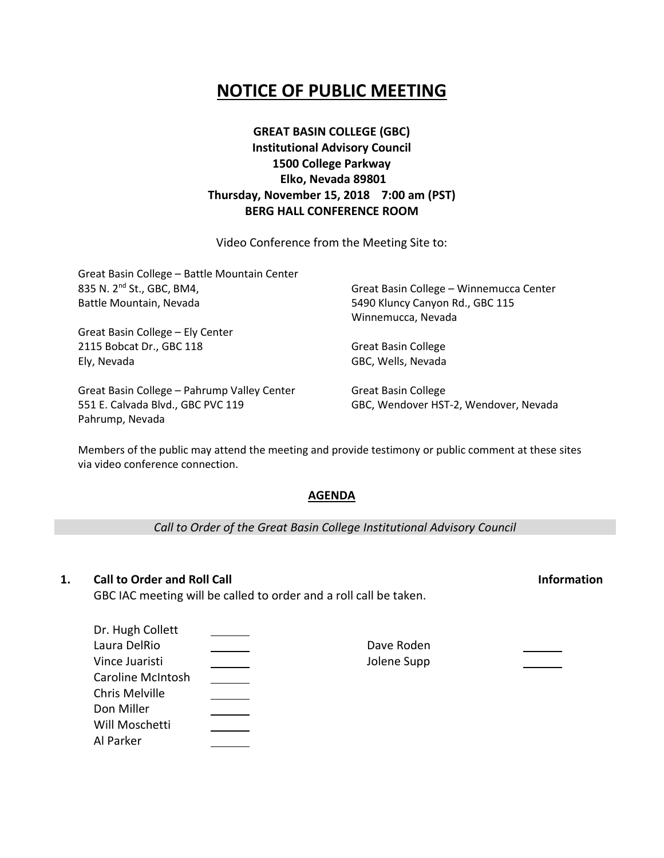# **NOTICE OF PUBLIC MEETING**

### **GREAT BASIN COLLEGE (GBC) Institutional Advisory Council 1500 College Parkway Elko, Nevada 89801 Thursday, November 15, 2018 7:00 am (PST) BERG HALL CONFERENCE ROOM**

Video Conference from the Meeting Site to:

| Great Basin College - Battle Mountain Center                |                                         |
|-------------------------------------------------------------|-----------------------------------------|
| 835 N. 2 <sup>nd</sup> St., GBC, BM4,                       | Great Basin College - Winnemucca Center |
| Battle Mountain, Nevada<br>Great Basin College - Ely Center | 5490 Kluncy Canyon Rd., GBC 115         |
|                                                             | Winnemucca, Nevada                      |
|                                                             |                                         |
| 2115 Bobcat Dr., GBC 118                                    | <b>Great Basin College</b>              |
| Ely, Nevada                                                 | GBC, Wells, Nevada                      |
| Great Basin College - Pahrump Valley Center                 | <b>Great Basin College</b>              |
| 551 E. Calvada Blvd., GBC PVC 119                           | GBC, Wendover HST-2, Wendover, Nevada   |

Members of the public may attend the meeting and provide testimony or public comment at these sites via video conference connection.

### **AGENDA**

*Call to Order of the Great Basin College Institutional Advisory Council*

Dave Roden Jolene Supp

### **1. Call to Order and Roll Call Information**

Pahrump, Nevada

GBC IAC meeting will be called to order and a roll call be taken.

| Dr. Hugh Collett         |  |
|--------------------------|--|
| Laura DelRio             |  |
| Vince Juaristi           |  |
| <b>Caroline McIntosh</b> |  |
| Chris Melville           |  |
| Don Miller               |  |
| Will Moschetti           |  |
| Al Parker                |  |
|                          |  |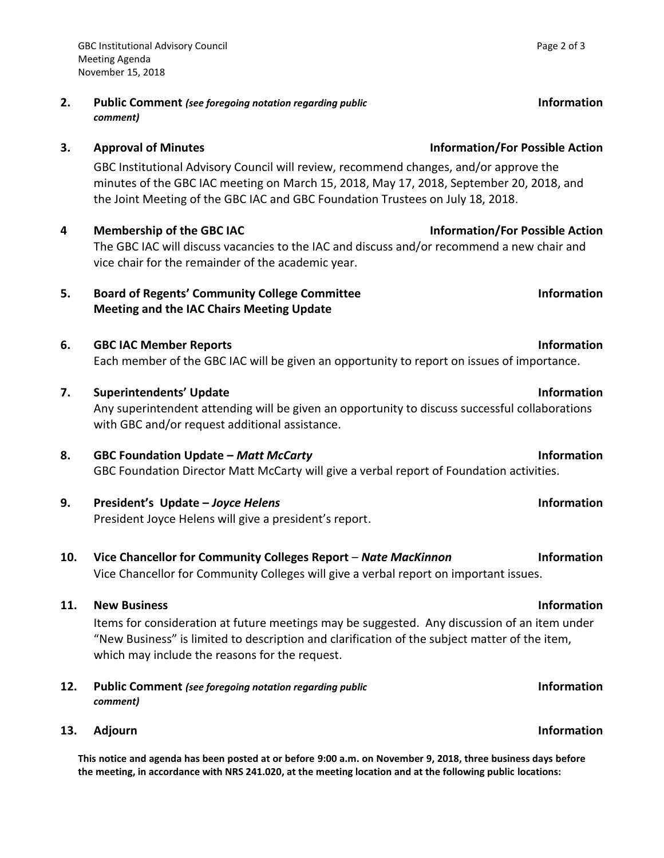**2. Public Comment** *(see foregoing notation regarding public comment)*

GBC Institutional Advisory Council will review, recommend changes, and/or approve the minutes of the GBC IAC meeting on March 15, 2018, May 17, 2018, September 20, 2018, and the Joint Meeting of the GBC IAC and GBC Foundation Trustees on July 18, 2018.

**4 Membership of the GBC IAC Information/For Possible Action** The GBC IAC will discuss vacancies to the IAC and discuss and/or recommend a new chair and vice chair for the remainder of the academic year.

## **5. Board of Regents' Community College Committee Meeting and the IAC Chairs Meeting Update**

- **6. GBC IAC Member Reports Information** Each member of the GBC IAC will be given an opportunity to report on issues of importance.
- **7. Superintendents' Update Information** Any superintendent attending will be given an opportunity to discuss successful collaborations with GBC and/or request additional assistance.
- **8. GBC Foundation Update –** *Matt McCarty* **Information** GBC Foundation Director Matt McCarty will give a verbal report of Foundation activities.
- **9. President's Update –** *Joyce Helens* **Information** President Joyce Helens will give a president's report.
- **10. Vice Chancellor for Community Colleges Report** *Nate MacKinnon* **Information** Vice Chancellor for Community Colleges will give a verbal report on important issues.

## **11. New Business Information**

Items for consideration at future meetings may be suggested. Any discussion of an item under "New Business" is limited to description and clarification of the subject matter of the item, which may include the reasons for the request.

- **12. Public Comment** *(see foregoing notation regarding public comment)*
- **13.** Adjourn **Information**

**This notice and agenda has been posted at or before 9:00 a.m. on November 9, 2018, three business days before the meeting, in accordance with NRS 241.020, at the meeting location and at the following public locations:**

# **3. Approval of Minutes Information/For Possible Action**

**Information** 

# **Information**